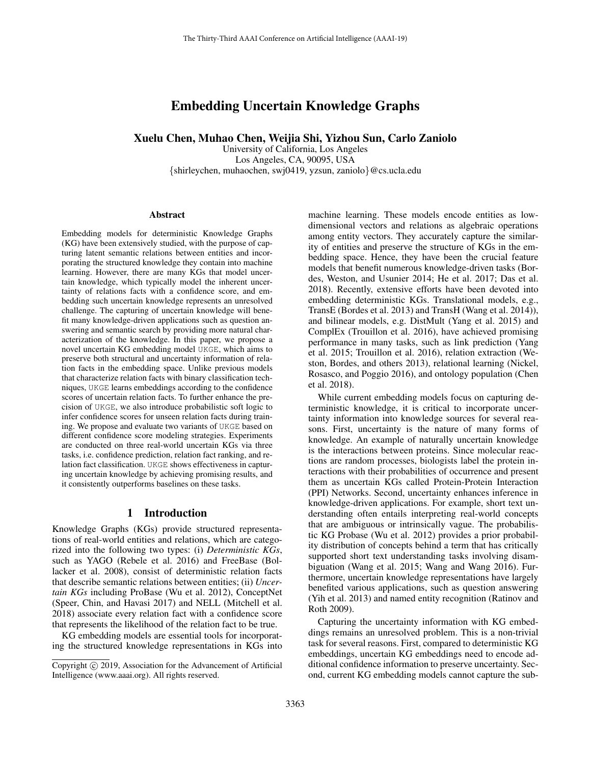# Embedding Uncertain Knowledge Graphs

Xuelu Chen, Muhao Chen, Weijia Shi, Yizhou Sun, Carlo Zaniolo

University of California, Los Angeles Los Angeles, CA, 90095, USA {shirleychen, muhaochen, swj0419, yzsun, zaniolo}@cs.ucla.edu

#### Abstract

Embedding models for deterministic Knowledge Graphs (KG) have been extensively studied, with the purpose of capturing latent semantic relations between entities and incorporating the structured knowledge they contain into machine learning. However, there are many KGs that model uncertain knowledge, which typically model the inherent uncertainty of relations facts with a confidence score, and embedding such uncertain knowledge represents an unresolved challenge. The capturing of uncertain knowledge will benefit many knowledge-driven applications such as question answering and semantic search by providing more natural characterization of the knowledge. In this paper, we propose a novel uncertain KG embedding model UKGE, which aims to preserve both structural and uncertainty information of relation facts in the embedding space. Unlike previous models that characterize relation facts with binary classification techniques, UKGE learns embeddings according to the confidence scores of uncertain relation facts. To further enhance the precision of UKGE, we also introduce probabilistic soft logic to infer confidence scores for unseen relation facts during training. We propose and evaluate two variants of UKGE based on different confidence score modeling strategies. Experiments are conducted on three real-world uncertain KGs via three tasks, i.e. confidence prediction, relation fact ranking, and relation fact classification. UKGE shows effectiveness in capturing uncertain knowledge by achieving promising results, and it consistently outperforms baselines on these tasks.

## 1 Introduction

Knowledge Graphs (KGs) provide structured representations of real-world entities and relations, which are categorized into the following two types: (i) *Deterministic KGs*, such as YAGO (Rebele et al. 2016) and FreeBase (Bollacker et al. 2008), consist of deterministic relation facts that describe semantic relations between entities; (ii) *Uncertain KGs* including ProBase (Wu et al. 2012), ConceptNet (Speer, Chin, and Havasi 2017) and NELL (Mitchell et al. 2018) associate every relation fact with a confidence score that represents the likelihood of the relation fact to be true.

KG embedding models are essential tools for incorporating the structured knowledge representations in KGs into machine learning. These models encode entities as lowdimensional vectors and relations as algebraic operations among entity vectors. They accurately capture the similarity of entities and preserve the structure of KGs in the embedding space. Hence, they have been the crucial feature models that benefit numerous knowledge-driven tasks (Bordes, Weston, and Usunier 2014; He et al. 2017; Das et al. 2018). Recently, extensive efforts have been devoted into embedding deterministic KGs. Translational models, e.g., TransE (Bordes et al. 2013) and TransH (Wang et al. 2014)), and bilinear models, e.g. DistMult (Yang et al. 2015) and ComplEx (Trouillon et al. 2016), have achieved promising performance in many tasks, such as link prediction (Yang et al. 2015; Trouillon et al. 2016), relation extraction (Weston, Bordes, and others 2013), relational learning (Nickel, Rosasco, and Poggio 2016), and ontology population (Chen et al. 2018).

While current embedding models focus on capturing deterministic knowledge, it is critical to incorporate uncertainty information into knowledge sources for several reasons. First, uncertainty is the nature of many forms of knowledge. An example of naturally uncertain knowledge is the interactions between proteins. Since molecular reactions are random processes, biologists label the protein interactions with their probabilities of occurrence and present them as uncertain KGs called Protein-Protein Interaction (PPI) Networks. Second, uncertainty enhances inference in knowledge-driven applications. For example, short text understanding often entails interpreting real-world concepts that are ambiguous or intrinsically vague. The probabilistic KG Probase (Wu et al. 2012) provides a prior probability distribution of concepts behind a term that has critically supported short text understanding tasks involving disambiguation (Wang et al. 2015; Wang and Wang 2016). Furthermore, uncertain knowledge representations have largely benefited various applications, such as question answering (Yih et al. 2013) and named entity recognition (Ratinov and Roth 2009).

Capturing the uncertainty information with KG embeddings remains an unresolved problem. This is a non-trivial task for several reasons. First, compared to deterministic KG embeddings, uncertain KG embeddings need to encode additional confidence information to preserve uncertainty. Second, current KG embedding models cannot capture the sub-

Copyright © 2019, Association for the Advancement of Artificial Intelligence (www.aaai.org). All rights reserved.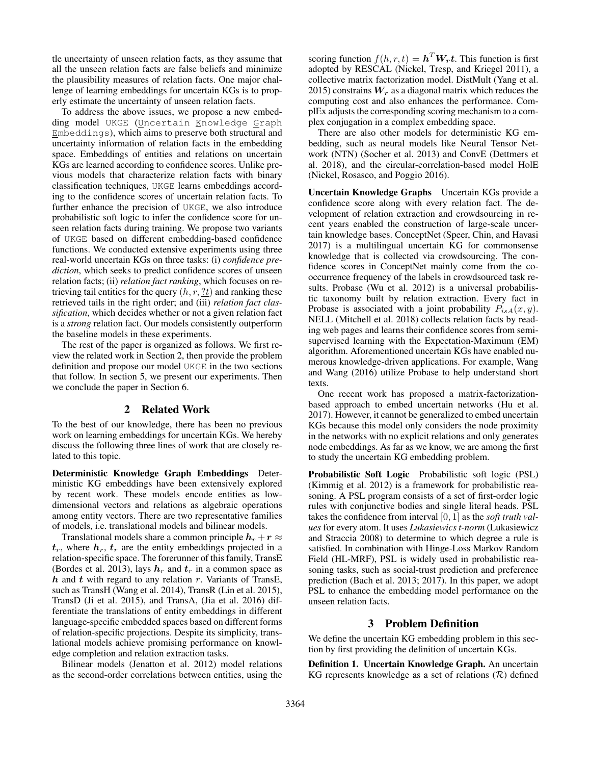tle uncertainty of unseen relation facts, as they assume that all the unseen relation facts are false beliefs and minimize the plausibility measures of relation facts. One major challenge of learning embeddings for uncertain KGs is to properly estimate the uncertainty of unseen relation facts.

To address the above issues, we propose a new embedding model UKGE (Uncertain Knowledge Graph Embeddings), which aims to preserve both structural and uncertainty information of relation facts in the embedding space. Embeddings of entities and relations on uncertain KGs are learned according to confidence scores. Unlike previous models that characterize relation facts with binary classification techniques, UKGE learns embeddings according to the confidence scores of uncertain relation facts. To further enhance the precision of UKGE, we also introduce probabilistic soft logic to infer the confidence score for unseen relation facts during training. We propose two variants of UKGE based on different embedding-based confidence functions. We conducted extensive experiments using three real-world uncertain KGs on three tasks: (i) *confidence prediction*, which seeks to predict confidence scores of unseen relation facts; (ii) *relation fact ranking*, which focuses on retrieving tail entities for the query  $(h, r, \underline{?t})$  and ranking these retrieved tails in the right order; and (iii) *relation fact classification*, which decides whether or not a given relation fact is a *strong* relation fact. Our models consistently outperform the baseline models in these experiments.

The rest of the paper is organized as follows. We first review the related work in Section 2, then provide the problem definition and propose our model UKGE in the two sections that follow. In section 5, we present our experiments. Then we conclude the paper in Section 6.

### 2 Related Work

To the best of our knowledge, there has been no previous work on learning embeddings for uncertain KGs. We hereby discuss the following three lines of work that are closely related to this topic.

Deterministic Knowledge Graph Embeddings Deterministic KG embeddings have been extensively explored by recent work. These models encode entities as lowdimensional vectors and relations as algebraic operations among entity vectors. There are two representative families of models, i.e. translational models and bilinear models.

Translational models share a common principle  $h_r + r \approx$  $t_r$ , where  $h_r$ ,  $t_r$  are the entity embeddings projected in a relation-specific space. The forerunner of this family, TransE (Bordes et al. 2013), lays  $h_r$  and  $t_r$  in a common space as  $h$  and  $t$  with regard to any relation  $r$ . Variants of TransE, such as TransH (Wang et al. 2014), TransR (Lin et al. 2015), TransD (Ji et al. 2015), and TransA, (Jia et al. 2016) differentiate the translations of entity embeddings in different language-specific embedded spaces based on different forms of relation-specific projections. Despite its simplicity, translational models achieve promising performance on knowledge completion and relation extraction tasks.

Bilinear models (Jenatton et al. 2012) model relations as the second-order correlations between entities, using the

scoring function  $f(h, r, t) = \mathbf{h}^T \mathbf{W_r} \mathbf{t}$ . This function is first adopted by RESCAL (Nickel, Tresp, and Kriegel 2011), a collective matrix factorization model. DistMult (Yang et al. 2015) constrains  $W_r$  as a diagonal matrix which reduces the computing cost and also enhances the performance. ComplEx adjusts the corresponding scoring mechanism to a complex conjugation in a complex embedding space.

There are also other models for deterministic KG embedding, such as neural models like Neural Tensor Network (NTN) (Socher et al. 2013) and ConvE (Dettmers et al. 2018), and the circular-correlation-based model HolE (Nickel, Rosasco, and Poggio 2016).

Uncertain Knowledge Graphs Uncertain KGs provide a confidence score along with every relation fact. The development of relation extraction and crowdsourcing in recent years enabled the construction of large-scale uncertain knowledge bases. ConceptNet (Speer, Chin, and Havasi 2017) is a multilingual uncertain KG for commonsense knowledge that is collected via crowdsourcing. The confidence scores in ConceptNet mainly come from the cooccurrence frequency of the labels in crowdsourced task results. Probase (Wu et al. 2012) is a universal probabilistic taxonomy built by relation extraction. Every fact in Probase is associated with a joint probability  $P_{isA}(x, y)$ . NELL (Mitchell et al. 2018) collects relation facts by reading web pages and learns their confidence scores from semisupervised learning with the Expectation-Maximum (EM) algorithm. Aforementioned uncertain KGs have enabled numerous knowledge-driven applications. For example, Wang and Wang (2016) utilize Probase to help understand short texts.

One recent work has proposed a matrix-factorizationbased approach to embed uncertain networks (Hu et al. 2017). However, it cannot be generalized to embed uncertain KGs because this model only considers the node proximity in the networks with no explicit relations and only generates node embeddings. As far as we know, we are among the first to study the uncertain KG embedding problem.

Probabilistic Soft Logic Probabilistic soft logic (PSL) (Kimmig et al. 2012) is a framework for probabilistic reasoning. A PSL program consists of a set of first-order logic rules with conjunctive bodies and single literal heads. PSL takes the confidence from interval [0, 1] as the *soft truth values* for every atom. It uses *Lukasiewics t-norm* (Lukasiewicz and Straccia 2008) to determine to which degree a rule is satisfied. In combination with Hinge-Loss Markov Random Field (HL-MRF), PSL is widely used in probabilistic reasoning tasks, such as social-trust prediction and preference prediction (Bach et al. 2013; 2017). In this paper, we adopt PSL to enhance the embedding model performance on the unseen relation facts.

# 3 Problem Definition

We define the uncertain KG embedding problem in this section by first providing the definition of uncertain KGs.

Definition 1. Uncertain Knowledge Graph. An uncertain KG represents knowledge as a set of relations  $(R)$  defined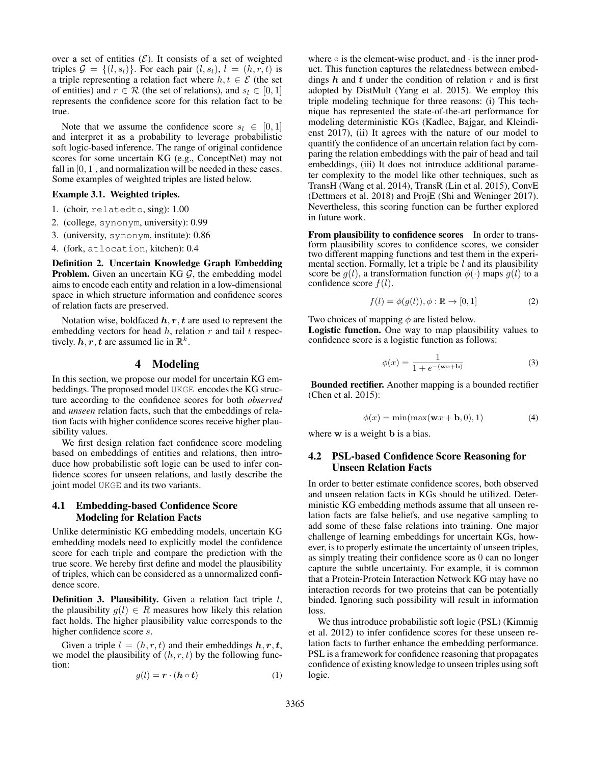over a set of entities  $(\mathcal{E})$ . It consists of a set of weighted triples  $\mathcal{G} = \{(l, s_l)\}\$ . For each pair  $(l, s_l)$ ,  $l = (h, r, t)$  is a triple representing a relation fact where  $h, t \in \mathcal{E}$  (the set of entities) and  $r \in \mathcal{R}$  (the set of relations), and  $s_l \in [0, 1]$ represents the confidence score for this relation fact to be true.

Note that we assume the confidence score  $s_l \in [0, 1]$ and interpret it as a probability to leverage probabilistic soft logic-based inference. The range of original confidence scores for some uncertain KG (e.g., ConceptNet) may not fall in [0, 1], and normalization will be needed in these cases. Some examples of weighted triples are listed below.

### Example 3.1. Weighted triples.

- 1. (choir, relatedto, sing): 1.00
- 2. (college, synonym, university): 0.99
- 3. (university, synonym, institute): 0.86
- 4. (fork, atlocation, kitchen): 0.4

Definition 2. Uncertain Knowledge Graph Embedding **Problem.** Given an uncertain KG  $\mathcal{G}$ , the embedding model aims to encode each entity and relation in a low-dimensional space in which structure information and confidence scores of relation facts are preserved.

Notation wise, boldfaced  $h, r, t$  are used to represent the embedding vectors for head  $h$ , relation  $r$  and tail  $t$  respectively.  $h, r, t$  are assumed lie in  $\mathbb{R}^k$ .

## 4 Modeling

In this section, we propose our model for uncertain KG embeddings. The proposed model UKGE encodes the KG structure according to the confidence scores for both *observed* and *unseen* relation facts, such that the embeddings of relation facts with higher confidence scores receive higher plausibility values.

We first design relation fact confidence score modeling based on embeddings of entities and relations, then introduce how probabilistic soft logic can be used to infer confidence scores for unseen relations, and lastly describe the joint model UKGE and its two variants.

# 4.1 Embedding-based Confidence Score Modeling for Relation Facts

Unlike deterministic KG embedding models, uncertain KG embedding models need to explicitly model the confidence score for each triple and compare the prediction with the true score. We hereby first define and model the plausibility of triples, which can be considered as a unnormalized confidence score.

**Definition 3. Plausibility.** Given a relation fact triple  $l$ , the plausibility  $g(l) \in R$  measures how likely this relation fact holds. The higher plausibility value corresponds to the higher confidence score s.

Given a triple  $l = (h, r, t)$  and their embeddings  $h, r, t$ , we model the plausibility of  $(h, r, t)$  by the following function:

$$
g(l) = \mathbf{r} \cdot (\mathbf{h} \circ \mathbf{t}) \tag{1}
$$

where  $\circ$  is the element-wise product, and  $\cdot$  is the inner product. This function captures the relatedness between embeddings  $h$  and  $t$  under the condition of relation  $r$  and is first adopted by DistMult (Yang et al. 2015). We employ this triple modeling technique for three reasons: (i) This technique has represented the state-of-the-art performance for modeling deterministic KGs (Kadlec, Bajgar, and Kleindienst 2017), (ii) It agrees with the nature of our model to quantify the confidence of an uncertain relation fact by comparing the relation embeddings with the pair of head and tail embeddings, (iii) It does not introduce additional parameter complexity to the model like other techniques, such as TransH (Wang et al. 2014), TransR (Lin et al. 2015), ConvE (Dettmers et al. 2018) and ProjE (Shi and Weninger 2017). Nevertheless, this scoring function can be further explored in future work.

From plausibility to confidence scores In order to transform plausibility scores to confidence scores, we consider two different mapping functions and test them in the experimental section. Formally, let a triple be  $l$  and its plausibility score be  $g(l)$ , a transformation function  $\phi(\cdot)$  maps  $g(l)$  to a confidence score  $f(l)$ .

$$
f(l) = \phi(g(l)), \phi : \mathbb{R} \to [0, 1]
$$
 (2)

Two choices of mapping  $\phi$  are listed below. Logistic function. One way to map plausibility values to confidence score is a logistic function as follows:

$$
\phi(x) = \frac{1}{1 + e^{-(\mathbf{w}x + \mathbf{b})}}\tag{3}
$$

Bounded rectifier. Another mapping is a bounded rectifier (Chen et al. 2015):

$$
\phi(x) = \min(\max(\mathbf{w}x + \mathbf{b}, 0), 1) \tag{4}
$$

where w is a weight **b** is a bias.

# 4.2 PSL-based Confidence Score Reasoning for Unseen Relation Facts

In order to better estimate confidence scores, both observed and unseen relation facts in KGs should be utilized. Deterministic KG embedding methods assume that all unseen relation facts are false beliefs, and use negative sampling to add some of these false relations into training. One major challenge of learning embeddings for uncertain KGs, however, is to properly estimate the uncertainty of unseen triples, as simply treating their confidence score as 0 can no longer capture the subtle uncertainty. For example, it is common that a Protein-Protein Interaction Network KG may have no interaction records for two proteins that can be potentially binded. Ignoring such possibility will result in information loss.

We thus introduce probabilistic soft logic (PSL) (Kimmig et al. 2012) to infer confidence scores for these unseen relation facts to further enhance the embedding performance. PSL is a framework for confidence reasoning that propagates confidence of existing knowledge to unseen triples using soft logic.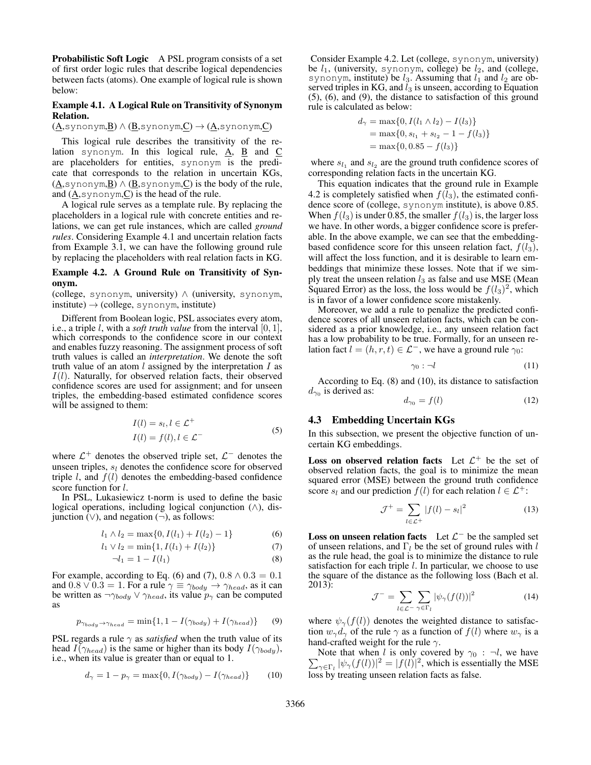Probabilistic Soft Logic A PSL program consists of a set of first order logic rules that describe logical dependencies between facts (atoms). One example of logical rule is shown below:

## Example 4.1. A Logical Rule on Transitivity of Synonym Relation.

### $(\underline{A}, \text{synonym}, \underline{B}) \wedge (\underline{B}, \text{synonym}, \underline{C}) \rightarrow (\underline{A}, \text{synonym}, \underline{C})$

This logical rule describes the transitivity of the relation synonym. In this logical rule,  $\underline{A}$ ,  $\underline{B}$  and  $\underline{C}$ are placeholders for entities, synonym is the predicate that corresponds to the relation in uncertain KGs,  $(A, \text{synonym},B) \wedge (B, \text{synonym},C)$  is the body of the rule, and  $(\underline{A}, \text{synonym}, \underline{C})$  is the head of the rule.

A logical rule serves as a template rule. By replacing the placeholders in a logical rule with concrete entities and relations, we can get rule instances, which are called *ground rules*. Considering Example 4.1 and uncertain relation facts from Example 3.1, we can have the following ground rule by replacing the placeholders with real relation facts in KG.

### Example 4.2. A Ground Rule on Transitivity of Synonym.

(college, synonym, university)  $\wedge$  (university, synonym,  $institute) \rightarrow (collect, synonym, institute)$ 

Different from Boolean logic, PSL associates every atom, i.e., a triple l, with a *soft truth value* from the interval [0, 1], which corresponds to the confidence score in our context and enables fuzzy reasoning. The assignment process of soft truth values is called an *interpretation*. We denote the soft truth value of an atom  $l$  assigned by the interpretation  $I$  as  $I(l)$ . Naturally, for observed relation facts, their observed confidence scores are used for assignment; and for unseen triples, the embedding-based estimated confidence scores will be assigned to them:

$$
I(l) = s_l, l \in \mathcal{L}^+
$$
  
\n
$$
I(l) = f(l), l \in \mathcal{L}^-
$$
\n(5)

where  $\mathcal{L}^+$  denotes the observed triple set,  $\mathcal{L}^-$  denotes the unseen triples,  $s_l$  denotes the confidence score for observed triple  $l$ , and  $f(l)$  denotes the embedding-based confidence score function for  $l$ .

In PSL, Lukasiewicz t-norm is used to define the basic logical operations, including logical conjunction (∧), disjunction  $(∨)$ , and negation  $(¬)$ , as follows:

$$
l_1 \wedge l_2 = \max\{0, I(l_1) + I(l_2) - 1\} \tag{6}
$$

$$
l_1 \vee l_2 = \min\{1, I(l_1) + I(l_2)\}\tag{7}
$$

$$
\neg l_1 = 1 - I(l_1) \tag{8}
$$

For example, according to Eq. (6) and (7),  $0.8 \wedge 0.3 = 0.1$ and  $0.8 \vee 0.3 = 1$ . For a rule  $\gamma \equiv \gamma_{body} \rightarrow \gamma_{head}$ , as it can be written as  $\neg \gamma_{body} \lor \gamma_{head}$ , its value  $p_{\gamma}$  can be computed as

$$
p_{\gamma_{body}\to\gamma_{head}} = \min\{1, 1 - I(\gamma_{body}) + I(\gamma_{head})\} \tag{9}
$$

PSL regards a rule  $\gamma$  as *satisfied* when the truth value of its head  $I(\gamma_{head})$  is the same or higher than its body  $I(\gamma_{body})$ , i.e., when its value is greater than or equal to 1.

$$
d_{\gamma} = 1 - p_{\gamma} = \max\{0, I(\gamma_{body}) - I(\gamma_{head})\} \tag{10}
$$

Consider Example 4.2. Let (college, synonym, university) be  $l_1$ , (university, synonym, college) be  $l_2$ , and (college, synonym, institute) be  $l_3$ . Assuming that  $l_1$  and  $l_2$  are observed triples in KG, and  $l_3$  is unseen, according to Equation (5), (6), and (9), the distance to satisfaction of this ground rule is calculated as below:

$$
d_{\gamma} = \max\{0, I(l_1 \wedge l_2) - I(l_3)\}
$$
  
= max{0, s<sub>l\_1</sub> + s<sub>l\_2</sub> - 1 - f(l\_3)}  
= max{0, 0.85 - f(l\_3)}

where  $s_{l_1}$  and  $s_{l_2}$  are the ground truth confidence scores of corresponding relation facts in the uncertain KG.

This equation indicates that the ground rule in Example 4.2 is completely satisfied when  $f(l_3)$ , the estimated confidence score of (college, synonym institute), is above 0.85. When  $f(l_3)$  is under 0.85, the smaller  $f(l_3)$  is, the larger loss we have. In other words, a bigger confidence score is preferable. In the above example, we can see that the embeddingbased confidence score for this unseen relation fact,  $f(l_3)$ , will affect the loss function, and it is desirable to learn embeddings that minimize these losses. Note that if we simply treat the unseen relation  $l_3$  as false and use MSE (Mean Squared Error) as the loss, the loss would be  $f(l_3)^2$ , which is in favor of a lower confidence score mistakenly.

Moreover, we add a rule to penalize the predicted confidence scores of all unseen relation facts, which can be considered as a prior knowledge, i.e., any unseen relation fact has a low probability to be true. Formally, for an unseen relation fact  $l = (h, r, t) \in \mathcal{L}^-$ , we have a ground rule  $\gamma_0$ :

$$
\gamma_0 : \neg l \tag{11}
$$

According to Eq. (8) and (10), its distance to satisfaction  $d_{\gamma_0}$  is derived as:

$$
d_{\gamma_0} = f(l) \tag{12}
$$

### 4.3 Embedding Uncertain KGs

In this subsection, we present the objective function of uncertain KG embeddings.

Loss on observed relation facts Let  $\mathcal{L}^+$  be the set of observed relation facts, the goal is to minimize the mean squared error (MSE) between the ground truth confidence score  $s_l$  and our prediction  $f(l)$  for each relation  $l \in \mathcal{L}^+$ :

$$
\mathcal{J}^+ = \sum_{l \in \mathcal{L}^+} |f(l) - s_l|^2 \tag{13}
$$

**Loss on unseen relation facts** Let  $\mathcal{L}^-$  be the sampled set of unseen relations, and  $\Gamma_l$  be the set of ground rules with l as the rule head, the goal is to minimize the distance to rule satisfaction for each triple  $l$ . In particular, we choose to use the square of the distance as the following loss (Bach et al. 2013):

$$
\mathcal{J}^{-} = \sum_{l \in \mathcal{L}^{-}} \sum_{\gamma \in \Gamma_l} |\psi_{\gamma}(f(l))|^{2}
$$
 (14)

where  $\psi_{\gamma}(f(l))$  denotes the weighted distance to satisfaction  $w_{\gamma}d_{\gamma}$  of the rule  $\gamma$  as a function of  $f(l)$  where  $w_{\gamma}$  is a hand-crafted weight for the rule  $\gamma$ .

 $\sum_{\gamma \in \Gamma_l} |\psi_{\gamma}(f(l))|^2 = |f(l)|^2$ , which is essentially the MSE Note that when l is only covered by  $\gamma_0$  :  $\neg l$ , we have  $\overline{\text{loss}}$  by treating unseen relation facts as false.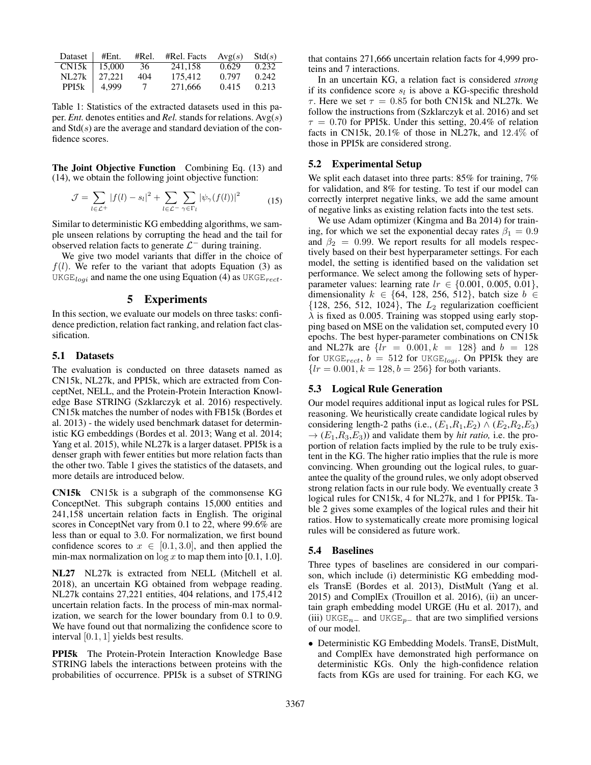| Dataset          | #Ent. | #Rel. | #Rel. Facts | Avg(s) | Std(s) |
|------------------|-------|-------|-------------|--------|--------|
| $CN15k$   15,000 |       | 36    | 241.158     | 0.629  | 0.232  |
| $NL27k$   27,221 |       | 404   | 175.412     | 0.797  | 0.242  |
| PPI5k            | 4.999 | 7     | 271,666     | 0.415  | 0.213  |

Table 1: Statistics of the extracted datasets used in this paper. *Ent.* denotes entities and *Rel.*stands for relations. Avg(s) and  $Std(s)$  are the average and standard deviation of the confidence scores.

The Joint Objective Function Combining Eq. (13) and (14), we obtain the following joint objective function:

$$
\mathcal{J} = \sum_{l \in \mathcal{L}^+} |f(l) - s_l|^2 + \sum_{l \in \mathcal{L}^-} \sum_{\gamma \in \Gamma_l} |\psi_\gamma(f(l))|^2 \tag{15}
$$

Similar to deterministic KG embedding algorithms, we sample unseen relations by corrupting the head and the tail for observed relation facts to generate  $\mathcal{L}^-$  during training.

We give two model variants that differ in the choice of  $f(l)$ . We refer to the variant that adopts Equation (3) as UKGE<sub>logi</sub> and name the one using Equation (4) as UKGE<sub>rect</sub>.

# 5 Experiments

In this section, we evaluate our models on three tasks: confidence prediction, relation fact ranking, and relation fact classification.

### 5.1 Datasets

The evaluation is conducted on three datasets named as CN15k, NL27k, and PPI5k, which are extracted from ConceptNet, NELL, and the Protein-Protein Interaction Knowledge Base STRING (Szklarczyk et al. 2016) respectively. CN15k matches the number of nodes with FB15k (Bordes et al. 2013) - the widely used benchmark dataset for deterministic KG embeddings (Bordes et al. 2013; Wang et al. 2014; Yang et al. 2015), while NL27k is a larger dataset. PPI5k is a denser graph with fewer entities but more relation facts than the other two. Table 1 gives the statistics of the datasets, and more details are introduced below.

CN15k CN15k is a subgraph of the commonsense KG ConceptNet. This subgraph contains 15,000 entities and 241,158 uncertain relation facts in English. The original scores in ConceptNet vary from 0.1 to 22, where 99.6% are less than or equal to 3.0. For normalization, we first bound confidence scores to  $x \in [0.1, 3.0]$ , and then applied the min-max normalization on  $\log x$  to map them into [0.1, 1.0].

NL27 NL27k is extracted from NELL (Mitchell et al. 2018), an uncertain KG obtained from webpage reading. NL27k contains 27,221 entities, 404 relations, and 175,412 uncertain relation facts. In the process of min-max normalization, we search for the lower boundary from 0.1 to 0.9. We have found out that normalizing the confidence score to interval [0.1, 1] yields best results.

PPI5k The Protein-Protein Interaction Knowledge Base STRING labels the interactions between proteins with the probabilities of occurrence. PPI5k is a subset of STRING

that contains 271,666 uncertain relation facts for 4,999 proteins and 7 interactions.

In an uncertain KG, a relation fact is considered *strong* if its confidence score  $s_l$  is above a KG-specific threshold  $\tau$ . Here we set  $\tau = 0.85$  for both CN15k and NL27k. We follow the instructions from (Szklarczyk et al. 2016) and set  $\tau = 0.70$  for PPI5k. Under this setting, 20.4% of relation facts in CN15k, 20.1% of those in NL27k, and 12.4% of those in PPI5k are considered strong.

# 5.2 Experimental Setup

We split each dataset into three parts: 85% for training, 7% for validation, and 8% for testing. To test if our model can correctly interpret negative links, we add the same amount of negative links as existing relation facts into the test sets.

We use Adam optimizer (Kingma and Ba 2014) for training, for which we set the exponential decay rates  $\beta_1 = 0.9$ and  $\beta_2 = 0.99$ . We report results for all models respectively based on their best hyperparameter settings. For each model, the setting is identified based on the validation set performance. We select among the following sets of hyperparameter values: learning rate  $lr \in \{0.001, 0.005, 0.01\},\$ dimensionality  $k \in \{64, 128, 256, 512\}$ , batch size  $b \in$  $\{128, 256, 512, 1024\}$ , The  $L_2$  regularization coefficient  $\lambda$  is fixed as 0.005. Training was stopped using early stopping based on MSE on the validation set, computed every 10 epochs. The best hyper-parameter combinations on CN15k and NL27k are  $\{lr = 0.001, k = 128\}$  and  $b = 128$ for UKGE<sub>rect</sub>,  $b = 512$  for UKGE<sub>logi</sub>. On PPI5k they are  ${lr = 0.001, k = 128, b = 256}$  for both variants.

#### 5.3 Logical Rule Generation

Our model requires additional input as logical rules for PSL reasoning. We heuristically create candidate logical rules by considering length-2 paths (i.e.,  $(E_1, R_1, E_2) \wedge (E_2, R_2, E_3)$  $\rightarrow$   $(E_1,R_3,E_3)$  and validate them by *hit ratio*, i.e. the proportion of relation facts implied by the rule to be truly existent in the KG. The higher ratio implies that the rule is more convincing. When grounding out the logical rules, to guarantee the quality of the ground rules, we only adopt observed strong relation facts in our rule body. We eventually create 3 logical rules for CN15k, 4 for NL27k, and 1 for PPI5k. Table 2 gives some examples of the logical rules and their hit ratios. How to systematically create more promising logical rules will be considered as future work.

#### 5.4 Baselines

Three types of baselines are considered in our comparison, which include (i) deterministic KG embedding models TransE (Bordes et al. 2013), DistMult (Yang et al. 2015) and ComplEx (Trouillon et al. 2016), (ii) an uncertain graph embedding model URGE (Hu et al. 2017), and (iii) UKGE<sub>n−</sub> and UKGE<sub>p−</sub> that are two simplified versions of our model.

• Deterministic KG Embedding Models. TransE, DistMult, and ComplEx have demonstrated high performance on deterministic KGs. Only the high-confidence relation facts from KGs are used for training. For each KG, we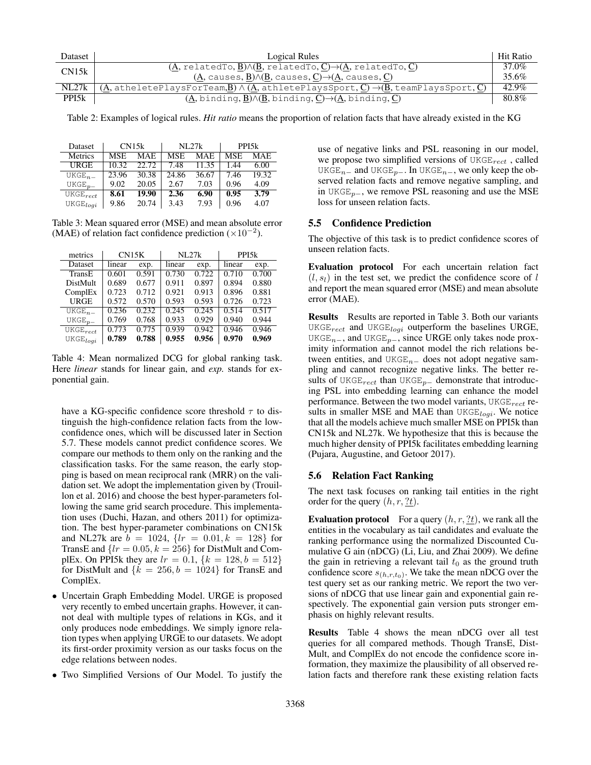| Dataset | Logical Rules                                                                                                                                                                                     | Hit Ratio |
|---------|---------------------------------------------------------------------------------------------------------------------------------------------------------------------------------------------------|-----------|
| CN15k   | $(A, \text{relatedTo}, B) \wedge (B, \text{relatedTo}, C) \rightarrow (A, \text{relatedTo}, C)$                                                                                                   | 37.0%     |
|         | $(A, causes, B) \wedge (B, causes, C) \rightarrow (A, causes, C)$                                                                                                                                 | 35.6%     |
| NL27k   | $(\underline{A}, \text{atheletePlaysForTeam}, \underline{B}) \wedge (\underline{A}, \text{athletePlays Sport}, \underline{C}) \rightarrow (\underline{B}, \text{teamPlays Sport}, \underline{C})$ | 42.9%     |
| PPI5k   | $(A, \text{binding}, B) \wedge (B, \text{binding}, C) \rightarrow (A, \text{binding}, C)$                                                                                                         | 80.8%     |

Table 2: Examples of logical rules. *Hit ratio* means the proportion of relation facts that have already existed in the KG

| Dataset              | CN15k      |            |            | NI.27k     | PPI <sub>5</sub> k |       |
|----------------------|------------|------------|------------|------------|--------------------|-------|
| Metrics              | <b>MSE</b> | <b>MAE</b> | <b>MSE</b> | <b>MAE</b> | <b>MSE</b>         | MAE   |
| <b>URGE</b>          | 10.32      | 22.72      | 7.48       | 11.35      | 1.44               | 6.00  |
| $UKGE_n$             | 23.96      | 30.38      | 24.86      | 36.67      | 7.46               | 19.32 |
| $UKGE_n =$           | 9.02       | 20.05      | 2.67       | 7.03       | 0.96               | 4.09  |
| $UKGE_{rect}$        | 8.61       | 19.90      | 2.36       | 6.90       | 0.95               | 3.79  |
| UKGE <sub>loqi</sub> | 9.86       | 20.74      | 3.43       | 7.93       | 0.96               | 4.07  |

Table 3: Mean squared error (MSE) and mean absolute error (MAE) of relation fact confidence prediction  $(\times 10^{-2})$ .

| metrics              | CN15K  |                    | NL27k  |       | PPI5 <sub>k</sub> |       |
|----------------------|--------|--------------------|--------|-------|-------------------|-------|
| Dataset              | linear | exp.               | linear | exp.  | linear            | exp.  |
| TransE               | 0.601  | 0.591              | 0.730  | 0.722 | 0.710             | 0.700 |
| DistMult             | 0.689  | 0.677              | 0.911  | 0.897 | 0.894             | 0.880 |
| ComplEx              | 0.723  | 0.712              | 0.921  | 0.913 | 0.896             | 0.881 |
| <b>URGE</b>          | 0.572  | 0.570              | 0.593  | 0.593 | 0.726             | 0.723 |
| $UKGE_n =$           | 0.236  | $\overline{0.232}$ | 0.245  | 0.245 | 0.514             | 0.517 |
| $UKGE_{n-}$          | 0.769  | 0.768              | 0.933  | 0.929 | 0.940             | 0.944 |
| $UKGE_{rect}$        | 0.773  | 0.775              | 0.939  | 0.942 | 0.946             | 0.946 |
| UKGE <sub>loai</sub> | 0.789  | 0.788              | 0.955  | 0.956 | 0.970             | 0.969 |

Table 4: Mean normalized DCG for global ranking task. Here *linear* stands for linear gain, and *exp.* stands for exponential gain.

have a KG-specific confidence score threshold  $\tau$  to distinguish the high-confidence relation facts from the lowconfidence ones, which will be discussed later in Section 5.7. These models cannot predict confidence scores. We compare our methods to them only on the ranking and the classification tasks. For the same reason, the early stopping is based on mean reciprocal rank (MRR) on the validation set. We adopt the implementation given by (Trouillon et al. 2016) and choose the best hyper-parameters following the same grid search procedure. This implementation uses (Duchi, Hazan, and others 2011) for optimization. The best hyper-parameter combinations on CN15k and NL27k are  $b = 1024$ ,  $\{lr = 0.01, k = 128\}$  for TransE and  $\{lr = 0.05, k = 256\}$  for DistMult and ComplEx. On PPI5k they are  $lr = 0.1$ ,  $\{k = 128, b = 512\}$ for DistMult and  $\{k = 256, b = 1024\}$  for TransE and ComplEx.

- Uncertain Graph Embedding Model. URGE is proposed very recently to embed uncertain graphs. However, it cannot deal with multiple types of relations in KGs, and it only produces node embeddings. We simply ignore relation types when applying URGE to our datasets. We adopt its first-order proximity version as our tasks focus on the edge relations between nodes.
- Two Simplified Versions of Our Model. To justify the

use of negative links and PSL reasoning in our model, we propose two simplified versions of  $UKGE_{rect}$ , called UKGE<sub>n−</sub> and UKGE<sub>p−</sub>. In UKGE<sub>n−</sub>, we only keep the observed relation facts and remove negative sampling, and in UKGE<sub>p−</sub>, we remove PSL reasoning and use the MSE loss for unseen relation facts.

### 5.5 Confidence Prediction

The objective of this task is to predict confidence scores of unseen relation facts.

Evaluation protocol For each uncertain relation fact  $(l, s_l)$  in the test set, we predict the confidence score of l and report the mean squared error (MSE) and mean absolute error (MAE).

Results Results are reported in Table 3. Both our variants UKGE<sub>rect</sub> and UKGE<sub>logi</sub> outperform the baselines URGE, UKGE<sub>n−</sub>, and UKGE<sub>p−</sub>, since URGE only takes node proximity information and cannot model the rich relations between entities, and UKGE<sub>n−</sub> does not adopt negative sampling and cannot recognize negative links. The better results of UKGE $_{rect}$  than UKGE<sub>p</sub> $-$  demonstrate that introducing PSL into embedding learning can enhance the model performance. Between the two model variants,  $UKGE_{rect}$  results in smaller MSE and MAE than  $UKGE_{logi}$ . We notice that all the models achieve much smaller MSE on PPI5k than CN15k and NL27k. We hypothesize that this is because the much higher density of PPI5k facilitates embedding learning (Pujara, Augustine, and Getoor 2017).

## 5.6 Relation Fact Ranking

The next task focuses on ranking tail entities in the right order for the query  $(h, r, \underline{?t}).$ 

**Evaluation protocol** For a query  $(h, r, ?t)$ , we rank all the entities in the vocabulary as tail candidates and evaluate the ranking performance using the normalized Discounted Cumulative G ain (nDCG) (Li, Liu, and Zhai 2009). We define the gain in retrieving a relevant tail  $t_0$  as the ground truth confidence score  $s_{(h,r,t_0)}$ . We take the mean nDCG over the test query set as our ranking metric. We report the two versions of nDCG that use linear gain and exponential gain respectively. The exponential gain version puts stronger emphasis on highly relevant results.

Results Table 4 shows the mean nDCG over all test queries for all compared methods. Though TransE, Dist-Mult, and ComplEx do not encode the confidence score information, they maximize the plausibility of all observed relation facts and therefore rank these existing relation facts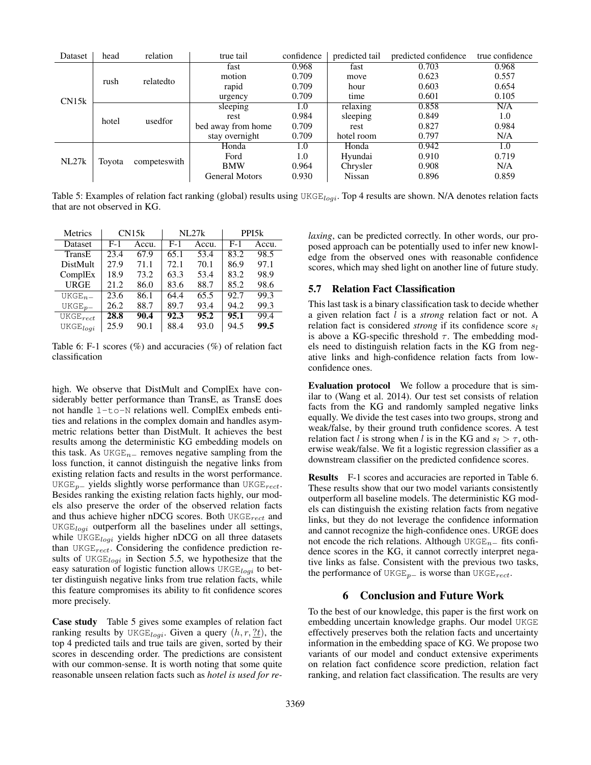| Dataset | head   | relation     | true tail             | confidence | predicted tail | predicted confidence | true confidence |
|---------|--------|--------------|-----------------------|------------|----------------|----------------------|-----------------|
| CN15k   | rush   |              | fast                  | 0.968      | fast           | 0.703                | 0.968           |
|         |        | relatedto    | motion                | 0.709      | move           | 0.623                | 0.557           |
|         |        |              | rapid                 | 0.709      | hour           | 0.603                | 0.654           |
|         |        |              | urgency               | 0.709      | time           | 0.601                | 0.105           |
|         |        | usedfor      | sleeping              | 1.0        | relaxing       | 0.858                | N/A             |
|         | hotel  |              | rest                  | 0.984      | sleeping       | 0.849                | 1.0             |
|         |        |              | bed away from home    | 0.709      | rest           | 0.827                | 0.984           |
|         |        |              | stay overnight        | 0.709      | hotel room     | 0.797                | N/A             |
| NL27k   | Toyota | competeswith | Honda                 | 1.0        | Honda          | 0.942                | 1.0             |
|         |        |              | Ford                  | 1.0        | Hyundai        | 0.910                | 0.719           |
|         |        |              | <b>BMW</b>            | 0.964      | Chrysler       | 0.908                | N/A             |
|         |        |              | <b>General Motors</b> | 0.930      | <b>Nissan</b>  | 0.896                | 0.859           |

Table 5: Examples of relation fact ranking (global) results using UKGE $_{logi}$ . Top 4 results are shown. N/A denotes relation facts that are not observed in KG.

| Metrics              | CN15k |       |       | NL27k | PPI5 <sub>k</sub> |       |
|----------------------|-------|-------|-------|-------|-------------------|-------|
| Dataset              | F-1   | Accu. | $F-1$ | Accu. | $F-1$             | Accu. |
| TransE               | 23.4  | 67.9  | 65.1  | 53.4  | 83.2              | 98.5  |
| DistMult             | 27.9  | 71.1  | 72.1  | 70.1  | 86.9              | 97.1  |
| ComplEx              | 18.9  | 73.2  | 63.3  | 53.4  | 83.2              | 98.9  |
| <b>URGE</b>          | 21.2  | 86.0  | 83.6  | 88.7  | 85.2              | 98.6  |
| $UKGE_n =$           | 23.6  | 86.1  | 64.4  | 65.5  | 92.7              | 99.3  |
| $UKGE_{p-}$          | 26.2  | 88.7  | 89.7  | 93.4  | 94.2              | 99.3  |
| $UKGE_{rect}$        | 28.8  | 90.4  | 92.3  | 95.2  | 95.1              | 99.4  |
| UKGE <sub>logi</sub> | 25.9  | 90.1  | 88.4  | 93.0  | 94.5              | 99.5  |

Table 6: F-1 scores  $(\%)$  and accuracies  $(\%)$  of relation fact classification

high. We observe that DistMult and ComplEx have considerably better performance than TransE, as TransE does not handle 1-to-N relations well. ComplEx embeds entities and relations in the complex domain and handles asymmetric relations better than DistMult. It achieves the best results among the deterministic KG embedding models on this task. As UKGE $_{n-}$  removes negative sampling from the loss function, it cannot distinguish the negative links from existing relation facts and results in the worst performance. UKGE<sub>p</sub> $-$  yields slightly worse performance than UKGE<sub>rect</sub>. Besides ranking the existing relation facts highly, our models also preserve the order of the observed relation facts and thus achieve higher nDCG scores. Both UKGE $_{rect}$  and  $UKGE<sub>local</sub>$  outperform all the baselines under all settings, while UKGE $_{logi}$  yields higher nDCG on all three datasets than UKGE $_{rect}$ . Considering the confidence prediction results of UKGE $_{logi}$  in Section 5.5, we hypothesize that the easy saturation of logistic function allows  $UKGE<sub>logi</sub>$  to better distinguish negative links from true relation facts, while this feature compromises its ability to fit confidence scores more precisely.

Case study Table 5 gives some examples of relation fact ranking results by UKGE<sub>logi</sub>. Given a query  $(h, r, \underline{?t})$ , the top 4 predicted tails and true tails are given, sorted by their scores in descending order. The predictions are consistent with our common-sense. It is worth noting that some quite reasonable unseen relation facts such as *hotel is used for re-* *laxing*, can be predicted correctly. In other words, our proposed approach can be potentially used to infer new knowledge from the observed ones with reasonable confidence scores, which may shed light on another line of future study.

#### 5.7 Relation Fact Classification

This last task is a binary classification task to decide whether a given relation fact l is a *strong* relation fact or not. A relation fact is considered *strong* if its confidence score  $s_l$ is above a KG-specific threshold  $\tau$ . The embedding models need to distinguish relation facts in the KG from negative links and high-confidence relation facts from lowconfidence ones.

Evaluation protocol We follow a procedure that is similar to (Wang et al. 2014). Our test set consists of relation facts from the KG and randomly sampled negative links equally. We divide the test cases into two groups, strong and weak/false, by their ground truth confidence scores. A test relation fact l is strong when l is in the KG and  $s_l > \tau$ , otherwise weak/false. We fit a logistic regression classifier as a downstream classifier on the predicted confidence scores.

Results F-1 scores and accuracies are reported in Table 6. These results show that our two model variants consistently outperform all baseline models. The deterministic KG models can distinguish the existing relation facts from negative links, but they do not leverage the confidence information and cannot recognize the high-confidence ones. URGE does not encode the rich relations. Although UKGE<sub>n−</sub> fits confidence scores in the KG, it cannot correctly interpret negative links as false. Consistent with the previous two tasks, the performance of UKGE<sub>p−</sub> is worse than UKGE<sub>rect</sub>.

## 6 Conclusion and Future Work

To the best of our knowledge, this paper is the first work on embedding uncertain knowledge graphs. Our model UKGE effectively preserves both the relation facts and uncertainty information in the embedding space of KG. We propose two variants of our model and conduct extensive experiments on relation fact confidence score prediction, relation fact ranking, and relation fact classification. The results are very